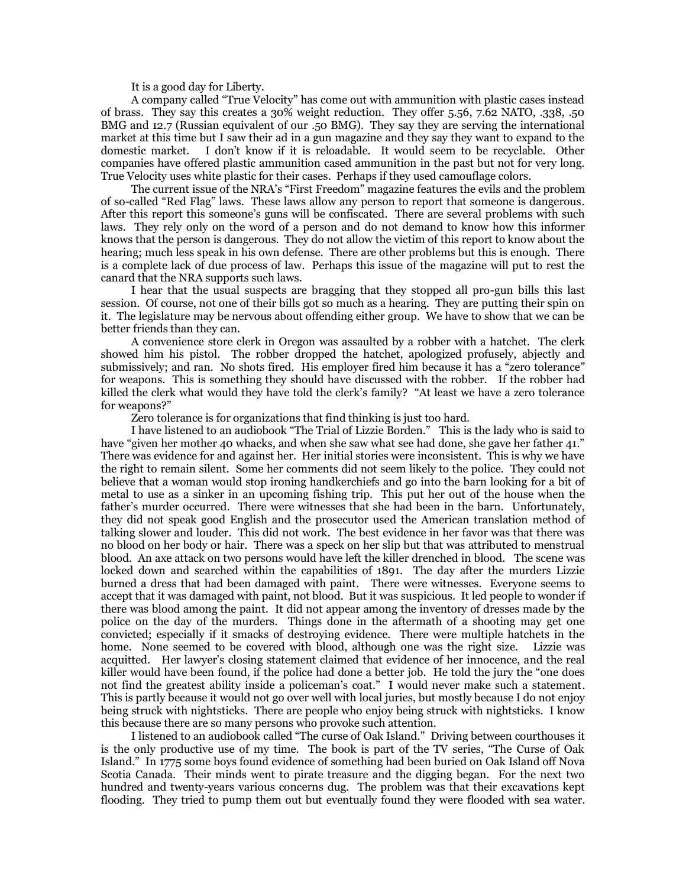It is a good day for Liberty.

A company called "True Velocity" has come out with ammunition with plastic cases instead of brass. They say this creates a 30% weight reduction. They offer 5.56, 7.62 NATO, .338, .50 BMG and 12.7 (Russian equivalent of our .50 BMG). They say they are serving the international market at this time but I saw their ad in a gun magazine and they say they want to expand to the domestic market. I don't know if it is reloadable. It would seem to be recyclable. Other companies have offered plastic ammunition cased ammunition in the past but not for very long. True Velocity uses white plastic for their cases. Perhaps if they used camouflage colors.

The current issue of the NRA's "First Freedom" magazine features the evils and the problem of so-called "Red Flag" laws. These laws allow any person to report that someone is dangerous. After this report this someone's guns will be confiscated. There are several problems with such laws. They rely only on the word of a person and do not demand to know how this informer knows that the person is dangerous. They do not allow the victim of this report to know about the hearing; much less speak in his own defense. There are other problems but this is enough. There is a complete lack of due process of law. Perhaps this issue of the magazine will put to rest the canard that the NRA supports such laws.

I hear that the usual suspects are bragging that they stopped all pro-gun bills this last session. Of course, not one of their bills got so much as a hearing. They are putting their spin on it. The legislature may be nervous about offending either group. We have to show that we can be better friends than they can.

A convenience store clerk in Oregon was assaulted by a robber with a hatchet. The clerk showed him his pistol. The robber dropped the hatchet, apologized profusely, abjectly and submissively; and ran. No shots fired. His employer fired him because it has a "zero tolerance" for weapons. This is something they should have discussed with the robber. If the robber had killed the clerk what would they have told the clerk's family? "At least we have a zero tolerance for weapons?"

Zero tolerance is for organizations that find thinking is just too hard.

I have listened to an audiobook "The Trial of Lizzie Borden." This is the lady who is said to have "given her mother 40 whacks, and when she saw what see had done, she gave her father 41." There was evidence for and against her. Her initial stories were inconsistent. This is why we have the right to remain silent. Some her comments did not seem likely to the police. They could not believe that a woman would stop ironing handkerchiefs and go into the barn looking for a bit of metal to use as a sinker in an upcoming fishing trip. This put her out of the house when the father's murder occurred. There were witnesses that she had been in the barn. Unfortunately, they did not speak good English and the prosecutor used the American translation method of talking slower and louder. This did not work. The best evidence in her favor was that there was no blood on her body or hair. There was a speck on her slip but that was attributed to menstrual blood. An axe attack on two persons would have left the killer drenched in blood. The scene was locked down and searched within the capabilities of 1891. The day after the murders Lizzie burned a dress that had been damaged with paint. There were witnesses. Everyone seems to accept that it was damaged with paint, not blood. But it was suspicious. It led people to wonder if there was blood among the paint. It did not appear among the inventory of dresses made by the police on the day of the murders. Things done in the aftermath of a shooting may get one convicted; especially if it smacks of destroying evidence. There were multiple hatchets in the home. None seemed to be covered with blood, although one was the right size. Lizzie was acquitted. Her lawyer's closing statement claimed that evidence of her innocence, and the real killer would have been found, if the police had done a better job. He told the jury the "one does not find the greatest ability inside a policeman's coat." I would never make such a statement. This is partly because it would not go over well with local juries, but mostly because I do not enjoy being struck with nightsticks. There are people who enjoy being struck with nightsticks. I know this because there are so many persons who provoke such attention.

I listened to an audiobook called "The curse of Oak Island." Driving between courthouses it is the only productive use of my time. The book is part of the TV series, "The Curse of Oak Island." In 1775 some boys found evidence of something had been buried on Oak Island off Nova Scotia Canada. Their minds went to pirate treasure and the digging began. For the next two hundred and twenty-years various concerns dug. The problem was that their excavations kept flooding. They tried to pump them out but eventually found they were flooded with sea water.